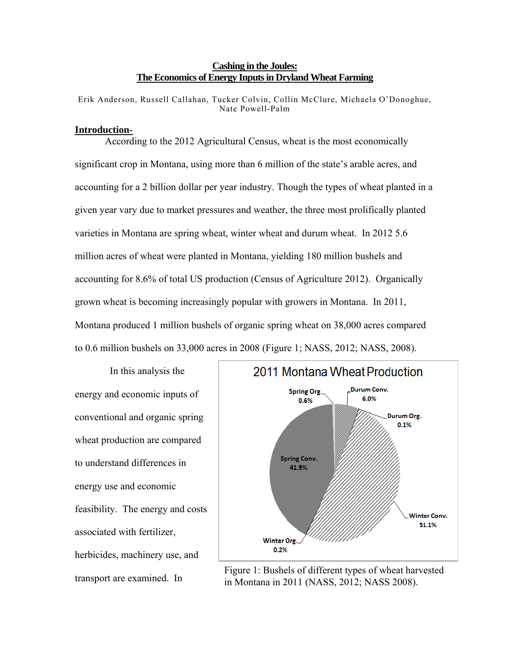## **Cashing in the Joules: The Economics of Energy Inputs in Dryland Wheat Farming**

Erik Anderson, Russell Callahan, Tucker Colvin, Collin McClure, Michaela O'Donoghue, Nate Powell-Palm

## **Introduction-**

According to the 2012 Agricultural Census, wheat is the most economically significant crop in Montana, using more than 6 million of the state's arable acres, and accounting for a 2 billion dollar per year industry. Though the types of wheat planted in a given year vary due to market pressures and weather, the three most prolifically planted varieties in Montana are spring wheat, winter wheat and durum wheat. In 2012 5.6 million acres of wheat were planted in Montana, yielding 180 million bushels and accounting for 8.6% of total US production (Census of Agriculture 2012). Organically grown wheat is becoming increasingly popular with growers in Montana. In 2011, Montana produced 1 million bushels of organic spring wheat on 38,000 acres compared to 0.6 million bushels on 33,000 acres in 2008 (Figure 1; NASS, 2012; NASS, 2008).

 In this analysis the energy and economic inputs of conventional and organic spring wheat production are compared to understand differences in energy use and economic feasibility. The energy and costs associated with fertilizer, herbicides, machinery use, and



transport are examined. In Figure 1: Bushels of different types of wheat harvested<br>in Montene in 2011 (NASS, 2012; NASS, 2008) in Montana in 2011 (NASS, 2012; NASS 2008).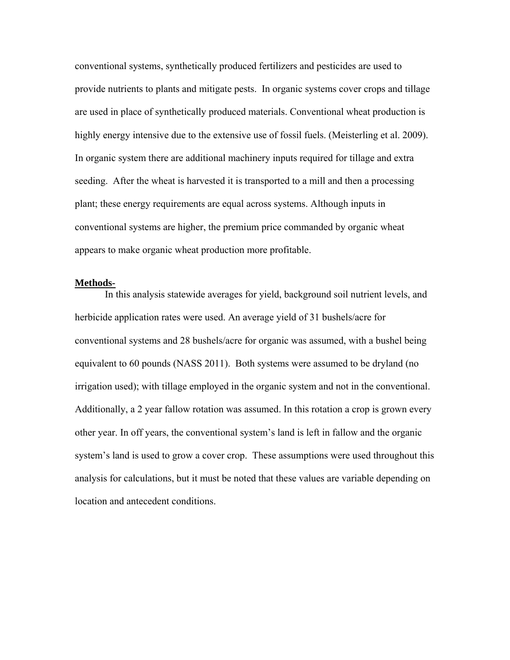conventional systems, synthetically produced fertilizers and pesticides are used to provide nutrients to plants and mitigate pests. In organic systems cover crops and tillage are used in place of synthetically produced materials. Conventional wheat production is highly energy intensive due to the extensive use of fossil fuels. (Meisterling et al. 2009). In organic system there are additional machinery inputs required for tillage and extra seeding. After the wheat is harvested it is transported to a mill and then a processing plant; these energy requirements are equal across systems. Although inputs in conventional systems are higher, the premium price commanded by organic wheat appears to make organic wheat production more profitable.

#### **Methods-**

 In this analysis statewide averages for yield, background soil nutrient levels, and herbicide application rates were used. An average yield of 31 bushels/acre for conventional systems and 28 bushels/acre for organic was assumed, with a bushel being equivalent to 60 pounds (NASS 2011). Both systems were assumed to be dryland (no irrigation used); with tillage employed in the organic system and not in the conventional. Additionally, a 2 year fallow rotation was assumed. In this rotation a crop is grown every other year. In off years, the conventional system's land is left in fallow and the organic system's land is used to grow a cover crop. These assumptions were used throughout this analysis for calculations, but it must be noted that these values are variable depending on location and antecedent conditions.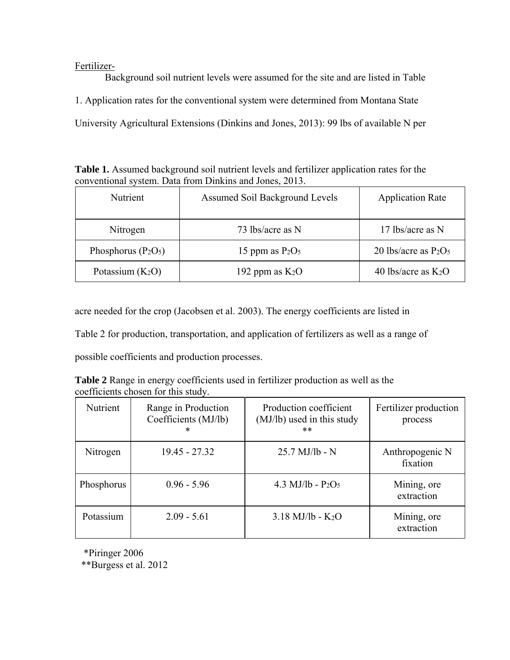Fertilizer-

Background soil nutrient levels were assumed for the site and are listed in Table 1. Application rates for the conventional system were determined from Montana State University Agricultural Extensions (Dinkins and Jones, 2013): 99 lbs of available N per

**Table 1.** Assumed background soil nutrient levels and fertilizer application rates for the conventional system. Data from Dinkins and Jones, 2013.

| Nutrient              | Assumed Soil Background Levels | <b>Application Rate</b> |
|-----------------------|--------------------------------|-------------------------|
| Nitrogen              | 73 lbs/acre as N               | 17 lbs/acre as N        |
| Phosphorus $(P_2O_5)$ | 15 ppm as $P_2O_5$             | 20 lbs/acre as $P_2O_5$ |
| Potassium $(K_2O)$    | 192 ppm as $K_2O$              | 40 lbs/acre as $K_2O$   |

acre needed for the crop (Jacobsen et al. 2003). The energy coefficients are listed in

Table 2 for production, transportation, and application of fertilizers as well as a range of

possible coefficients and production processes.

| <b>Table 2</b> Range in energy coefficients used in fertilizer production as well as the |  |
|------------------------------------------------------------------------------------------|--|
| coefficients chosen for this study.                                                      |  |

| Nutrient   | Range in Production<br>Coefficients (MJ/lb)<br>* | Production coefficient<br>(MJ/lb) used in this study<br>$***$ | Fertilizer production<br>process |
|------------|--------------------------------------------------|---------------------------------------------------------------|----------------------------------|
| Nitrogen   | $19.45 - 27.32$                                  | $25.7$ MJ/lb - N                                              | Anthropogenic N<br>fixation      |
| Phosphorus | $0.96 - 5.96$                                    | 4.3 MJ/lb - $P_2O_5$                                          | Mining, ore<br>extraction        |
| Potassium  | $2.09 - 5.61$                                    | $3.18$ MJ/lb - K <sub>2</sub> O                               | Mining, ore<br>extraction        |

\*Piringer 2006

\*\*Burgess et al. 2012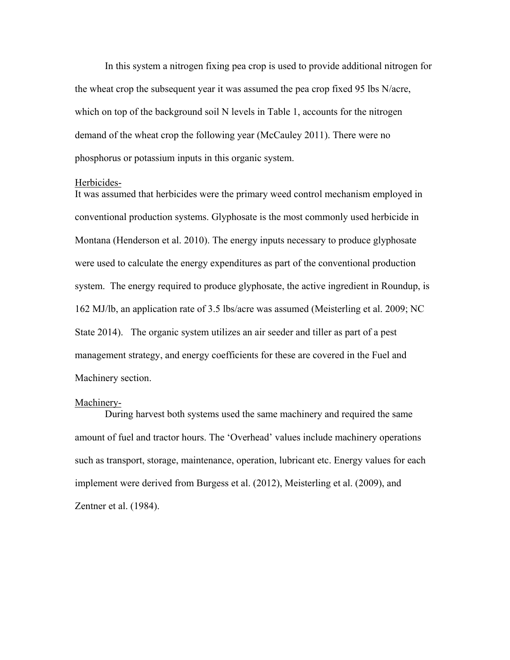In this system a nitrogen fixing pea crop is used to provide additional nitrogen for the wheat crop the subsequent year it was assumed the pea crop fixed 95 lbs N/acre, which on top of the background soil N levels in Table 1, accounts for the nitrogen demand of the wheat crop the following year (McCauley 2011). There were no phosphorus or potassium inputs in this organic system.

#### Herbicides-

It was assumed that herbicides were the primary weed control mechanism employed in conventional production systems. Glyphosate is the most commonly used herbicide in Montana (Henderson et al. 2010). The energy inputs necessary to produce glyphosate were used to calculate the energy expenditures as part of the conventional production system. The energy required to produce glyphosate, the active ingredient in Roundup, is 162 MJ/lb, an application rate of 3.5 lbs/acre was assumed (Meisterling et al. 2009; NC State 2014). The organic system utilizes an air seeder and tiller as part of a pest management strategy, and energy coefficients for these are covered in the Fuel and Machinery section.

#### Machinery-

During harvest both systems used the same machinery and required the same amount of fuel and tractor hours. The 'Overhead' values include machinery operations such as transport, storage, maintenance, operation, lubricant etc. Energy values for each implement were derived from Burgess et al. (2012), Meisterling et al. (2009), and Zentner et al. (1984).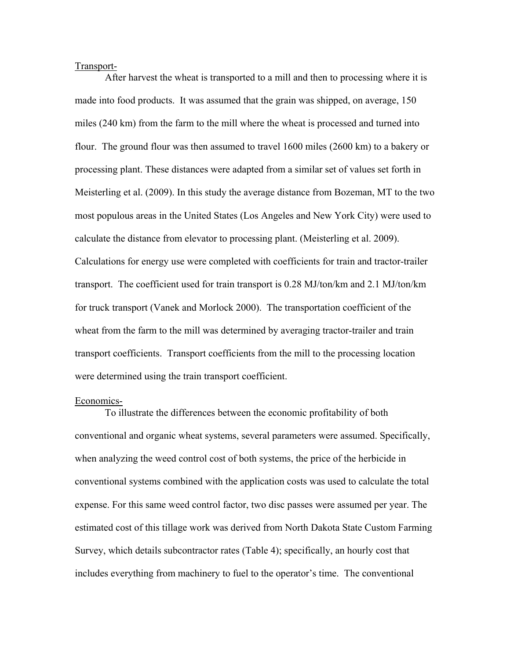#### Transport-

After harvest the wheat is transported to a mill and then to processing where it is made into food products. It was assumed that the grain was shipped, on average, 150 miles (240 km) from the farm to the mill where the wheat is processed and turned into flour. The ground flour was then assumed to travel 1600 miles (2600 km) to a bakery or processing plant. These distances were adapted from a similar set of values set forth in Meisterling et al. (2009). In this study the average distance from Bozeman, MT to the two most populous areas in the United States (Los Angeles and New York City) were used to calculate the distance from elevator to processing plant. (Meisterling et al. 2009). Calculations for energy use were completed with coefficients for train and tractor-trailer transport. The coefficient used for train transport is 0.28 MJ/ton/km and 2.1 MJ/ton/km for truck transport (Vanek and Morlock 2000). The transportation coefficient of the wheat from the farm to the mill was determined by averaging tractor-trailer and train transport coefficients. Transport coefficients from the mill to the processing location were determined using the train transport coefficient.

#### Economics-

To illustrate the differences between the economic profitability of both conventional and organic wheat systems, several parameters were assumed. Specifically, when analyzing the weed control cost of both systems, the price of the herbicide in conventional systems combined with the application costs was used to calculate the total expense. For this same weed control factor, two disc passes were assumed per year. The estimated cost of this tillage work was derived from North Dakota State Custom Farming Survey, which details subcontractor rates (Table 4); specifically, an hourly cost that includes everything from machinery to fuel to the operator's time. The conventional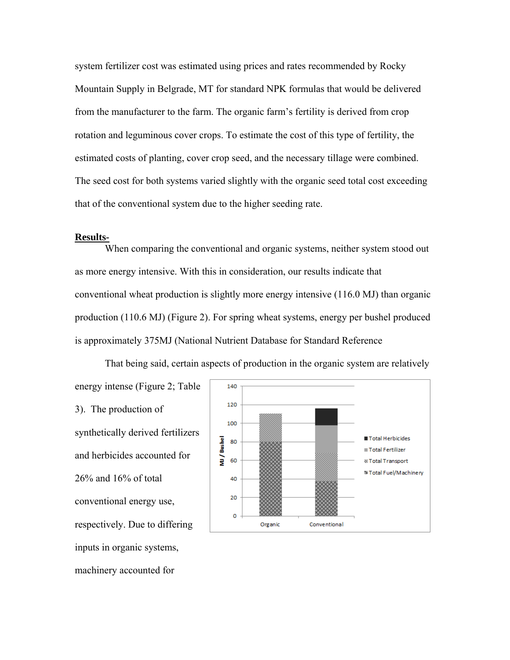system fertilizer cost was estimated using prices and rates recommended by Rocky Mountain Supply in Belgrade, MT for standard NPK formulas that would be delivered from the manufacturer to the farm. The organic farm's fertility is derived from crop rotation and leguminous cover crops. To estimate the cost of this type of fertility, the estimated costs of planting, cover crop seed, and the necessary tillage were combined. The seed cost for both systems varied slightly with the organic seed total cost exceeding that of the conventional system due to the higher seeding rate.

### **Results-**

machinery accounted for

When comparing the conventional and organic systems, neither system stood out as more energy intensive. With this in consideration, our results indicate that conventional wheat production is slightly more energy intensive (116.0 MJ) than organic production (110.6 MJ) (Figure 2). For spring wheat systems, energy per bushel produced is approximately 375MJ (National Nutrient Database for Standard Reference

energy intense (Figure 2; Table 140 120 3). The production of 100 synthetically derived fertilizers ■ Total Herbicides VU / Bushel 80 ■ Total Fertilizer and herbicides accounted for 60 **& Total Transport** <sup>®</sup> Total Fuel/Machinery 26% and 16% of total 40 20 conventional energy use,  $\Omega$ respectively. Due to differing Organic Conventional inputs in organic systems,

That being said, certain aspects of production in the organic system are relatively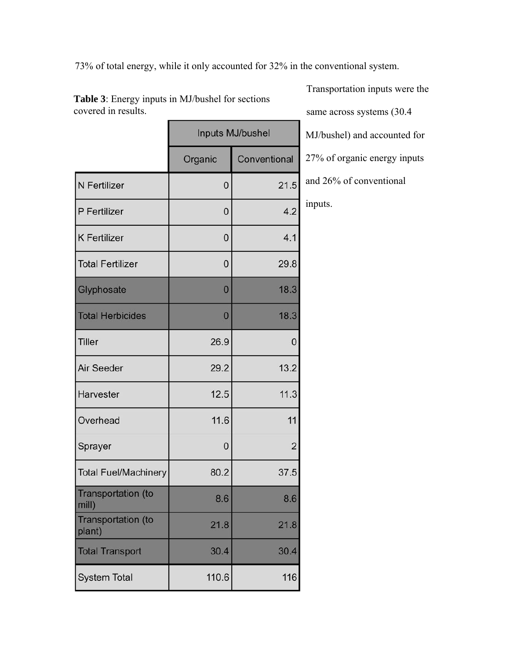73% of total energy, while it only accounted for 32% in the conventional system.

|                              | Inputs MJ/bushel |                |
|------------------------------|------------------|----------------|
|                              | Organic          | Conventional   |
| N Fertilizer                 | 0                | 21.5           |
| P Fertilizer                 | 0                | 4.2            |
| <b>K</b> Fertilizer          | 0                | 4.1            |
| <b>Total Fertilizer</b>      | $\mathbf 0$      | 29.8           |
| Glyphosate                   | $\overline{0}$   | 18.3           |
| <b>Total Herbicides</b>      | 0                | 18.3           |
| <b>Tiller</b>                | 26.9             | 0              |
| <b>Air Seeder</b>            | 29.2             | 13.2           |
| Harvester                    | 12.5             | 11.3           |
| Overhead                     | 11.6             | 11             |
| Sprayer                      | 0                | $\overline{c}$ |
| <b>Total Fuel/Machinery</b>  | 80.2             | 37.5           |
| Transportation (to<br>mill)  | 8.6              | 8.6            |
| Transportation (to<br>plant) | 21.8             | 21.8           |
| <b>Total Transport</b>       | 30.4             | 30.4           |
| <b>System Total</b>          | 110.6            | 116            |

**Table 3**: Energy inputs in MJ/bushel for sections covered in results.

Transportation inputs were the same across systems (30.4 MJ/bushel) and accounted for 27% of organic energy inputs and 26% of conventional inputs.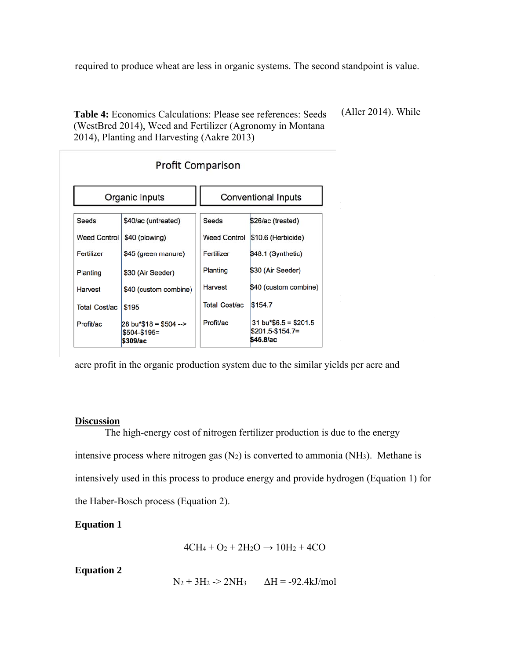required to produce wheat are less in organic systems. The second standpoint is value.

**Table 4:** Economics Calculations: Please see references: Seeds (WestBred 2014), Weed and Fertilizer (Agronomy in Montana 2014), Planting and Harvesting (Aakre 2013)

(Aller 2014). While

to realize greater per

| <b>Profit Comparison</b> |                                                    |                            |                                                                       |  |  |  |
|--------------------------|----------------------------------------------------|----------------------------|-----------------------------------------------------------------------|--|--|--|
| Organic Inputs           |                                                    | <b>Conventional Inputs</b> |                                                                       |  |  |  |
| <b>Seeds</b>             | \$40/ac (untreated)                                | Seeds                      | \$26/ac (treated)                                                     |  |  |  |
| <b>Weed Control</b>      | \$40 (plowing)                                     | <b>Weed Control</b>        | \$10.6 (Herbicide)                                                    |  |  |  |
| Fertilizer               | \$45 (green manure)                                | Fertilizer                 | \$48.1 (Synthetic)                                                    |  |  |  |
| Planting                 | \$30 (Air Seeder)                                  | Planting                   | \$30 (Air Seeder)                                                     |  |  |  |
| Harvest                  | \$40 (custom combine)                              | Harvest                    | \$40 (custom combine)                                                 |  |  |  |
| <b>Total Cost/ac</b>     | \$195                                              | <b>Total Cost/ac</b>       | \$154.7                                                               |  |  |  |
| Profit/ac                | 28 bu*\$18 = \$504 --><br>$$504-S195=$<br>\$309/ac | Profit/ac                  | $31 \text{ bu}^*$ \$6.5 = \$201.5<br>$$201.5 - $154.7 =$<br>\$46.8/ac |  |  |  |

acre profit in the organic production system due to the similar yields per acre and

### **Discussion**

The high-energy cost of nitrogen fertilizer production is due to the energy intensive process where nitrogen gas  $(N_2)$  is converted to ammonia  $(NH_3)$ . Methane is intensively used in this process to produce energy and provide hydrogen (Equation 1) for the Haber-Bosch process (Equation 2).

# **Equation 1**

$$
4CH_4 + O_2 + 2H_2O \rightarrow 10H_2 + 4CO
$$

# **Equation 2**

 $N_2 + 3H_2 \rightarrow 2NH_3$   $\Delta H = -92.4 \text{kJ/mol}$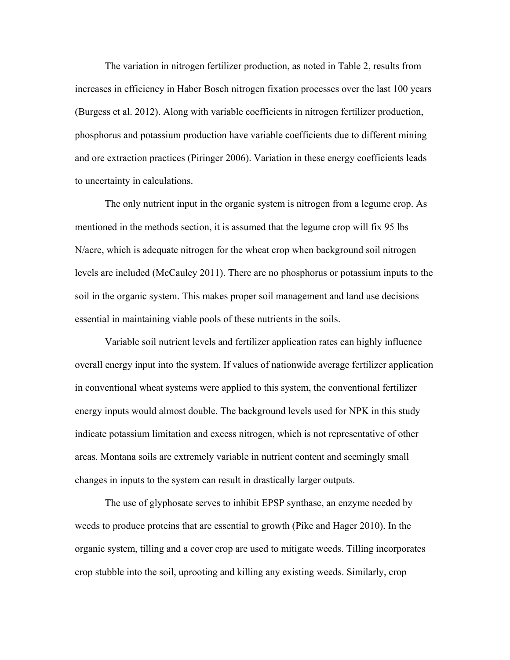The variation in nitrogen fertilizer production, as noted in Table 2, results from increases in efficiency in Haber Bosch nitrogen fixation processes over the last 100 years (Burgess et al. 2012). Along with variable coefficients in nitrogen fertilizer production, phosphorus and potassium production have variable coefficients due to different mining and ore extraction practices (Piringer 2006). Variation in these energy coefficients leads to uncertainty in calculations.

 The only nutrient input in the organic system is nitrogen from a legume crop. As mentioned in the methods section, it is assumed that the legume crop will fix 95 lbs N/acre, which is adequate nitrogen for the wheat crop when background soil nitrogen levels are included (McCauley 2011). There are no phosphorus or potassium inputs to the soil in the organic system. This makes proper soil management and land use decisions essential in maintaining viable pools of these nutrients in the soils.

 Variable soil nutrient levels and fertilizer application rates can highly influence overall energy input into the system. If values of nationwide average fertilizer application in conventional wheat systems were applied to this system, the conventional fertilizer energy inputs would almost double. The background levels used for NPK in this study indicate potassium limitation and excess nitrogen, which is not representative of other areas. Montana soils are extremely variable in nutrient content and seemingly small changes in inputs to the system can result in drastically larger outputs.

The use of glyphosate serves to inhibit EPSP synthase, an enzyme needed by weeds to produce proteins that are essential to growth (Pike and Hager 2010). In the organic system, tilling and a cover crop are used to mitigate weeds. Tilling incorporates crop stubble into the soil, uprooting and killing any existing weeds. Similarly, crop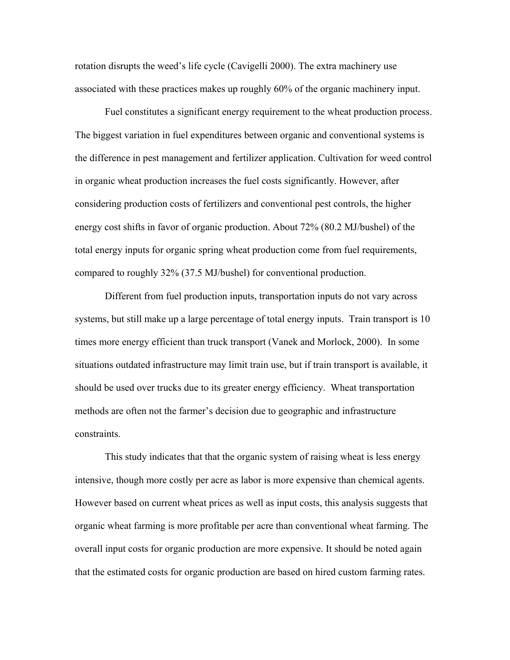rotation disrupts the weed's life cycle (Cavigelli 2000). The extra machinery use associated with these practices makes up roughly 60% of the organic machinery input.

Fuel constitutes a significant energy requirement to the wheat production process. The biggest variation in fuel expenditures between organic and conventional systems is the difference in pest management and fertilizer application. Cultivation for weed control in organic wheat production increases the fuel costs significantly. However, after considering production costs of fertilizers and conventional pest controls, the higher energy cost shifts in favor of organic production. About 72% (80.2 MJ/bushel) of the total energy inputs for organic spring wheat production come from fuel requirements, compared to roughly 32% (37.5 MJ/bushel) for conventional production.

Different from fuel production inputs, transportation inputs do not vary across systems, but still make up a large percentage of total energy inputs. Train transport is 10 times more energy efficient than truck transport (Vanek and Morlock, 2000). In some situations outdated infrastructure may limit train use, but if train transport is available, it should be used over trucks due to its greater energy efficiency. Wheat transportation methods are often not the farmer's decision due to geographic and infrastructure constraints.

This study indicates that that the organic system of raising wheat is less energy intensive, though more costly per acre as labor is more expensive than chemical agents. However based on current wheat prices as well as input costs, this analysis suggests that organic wheat farming is more profitable per acre than conventional wheat farming. The overall input costs for organic production are more expensive. It should be noted again that the estimated costs for organic production are based on hired custom farming rates.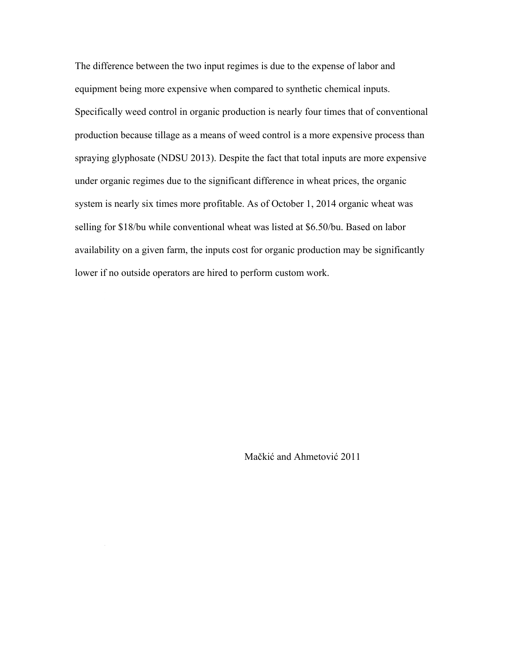The difference between the two input regimes is due to the expense of labor and equipment being more expensive when compared to synthetic chemical inputs. Specifically weed control in organic production is nearly four times that of conventional production because tillage as a means of weed control is a more expensive process than spraying glyphosate (NDSU 2013). Despite the fact that total inputs are more expensive under organic regimes due to the significant difference in wheat prices, the organic system is nearly six times more profitable. As of October 1, 2014 organic wheat was selling for \$18/bu while conventional wheat was listed at \$6.50/bu. Based on labor availability on a given farm, the inputs cost for organic production may be significantly lower if no outside operators are hired to perform custom work.

Due to the parameters set forth in this study, many aspects of production,

 $u_1$ unrelated to energy inputs, may input symplementation of the implementation of the implementation of either  $\alpha$ 

# Mačkić and Ahmetović 2011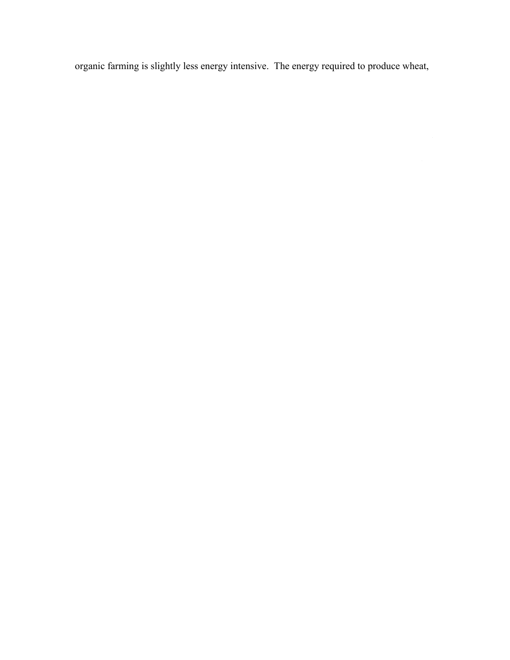organic farming is slightly less energy intensive. The energy required to produce wheat,

either organically or using conventional methods does not definitively favor one system

conventional systems, the price difference between the two production methods appears,

under the parameters of this study, to clearly favor or gain favor or  $\alpha$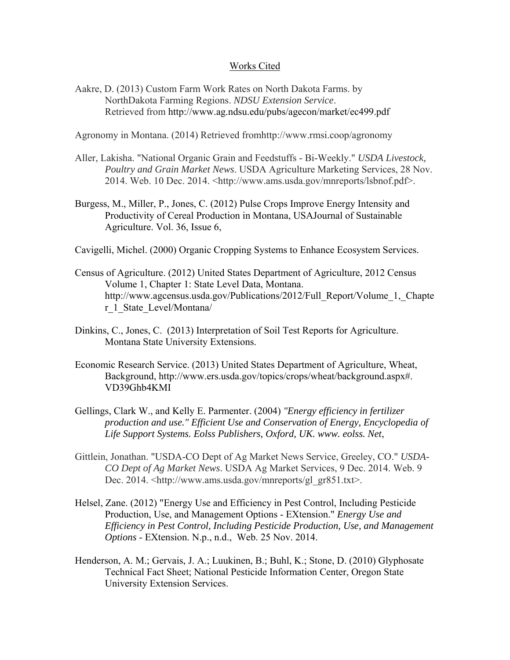## Works Cited

Aakre, D. (2013) Custom Farm Work Rates on North Dakota Farms. by NorthDakota Farming Regions. *NDSU Extension Service*. Retrieved from http://www.ag.ndsu.edu/pubs/agecon/market/ec499.pdf

Agronomy in Montana. (2014) Retrieved fromhttp://www.rmsi.coop/agronomy

- Aller, Lakisha. "National Organic Grain and Feedstuffs Bi-Weekly." *USDA Livestock, Poultry and Grain Market News*. USDA Agriculture Marketing Services, 28 Nov. 2014. Web. 10 Dec. 2014. <http://www.ams.usda.gov/mnreports/lsbnof.pdf>.
- Burgess, M., Miller, P., Jones, C. (2012) Pulse Crops Improve Energy Intensity and Productivity of Cereal Production in Montana, USAJournal of Sustainable Agriculture. Vol. 36, Issue 6,

Cavigelli, Michel. (2000) Organic Cropping Systems to Enhance Ecosystem Services.

- Census of Agriculture. (2012) United States Department of Agriculture, 2012 Census Volume 1, Chapter 1: State Level Data, Montana. http://www.agcensus.usda.gov/Publications/2012/Full\_Report/Volume\_1,\_Chapte r\_1\_State\_Level/Montana/
- Dinkins, C., Jones, C. (2013) Interpretation of Soil Test Reports for Agriculture. Montana State University Extensions.
- Economic Research Service. (2013) United States Department of Agriculture, Wheat, Background, http://www.ers.usda.gov/topics/crops/wheat/background.aspx#. VD39Ghb4KMI
- Gellings, Clark W., and Kelly E. Parmenter. (2004) *"Energy efficiency in fertilizer production and use." Efficient Use and Conservation of Energy, Encyclopedia of Life Support Systems. Eolss Publishers, Oxford, UK. www. eolss. Net*,
- Gittlein, Jonathan. "USDA-CO Dept of Ag Market News Service, Greeley, CO." *USDA-CO Dept of Ag Market News*. USDA Ag Market Services, 9 Dec. 2014. Web. 9 Dec. 2014. <http://www.ams.usda.gov/mnreports/gl\_gr851.txt>.
- Helsel, Zane. (2012) "Energy Use and Efficiency in Pest Control, Including Pesticide Production, Use, and Management Options - EXtension." *Energy Use and Efficiency in Pest Control, Including Pesticide Production, Use, and Management Options* - EXtension. N.p., n.d., Web. 25 Nov. 2014.
- Henderson, A. M.; Gervais, J. A.; Luukinen, B.; Buhl, K.; Stone, D. (2010) Glyphosate Technical Fact Sheet; National Pesticide Information Center, Oregon State University Extension Services.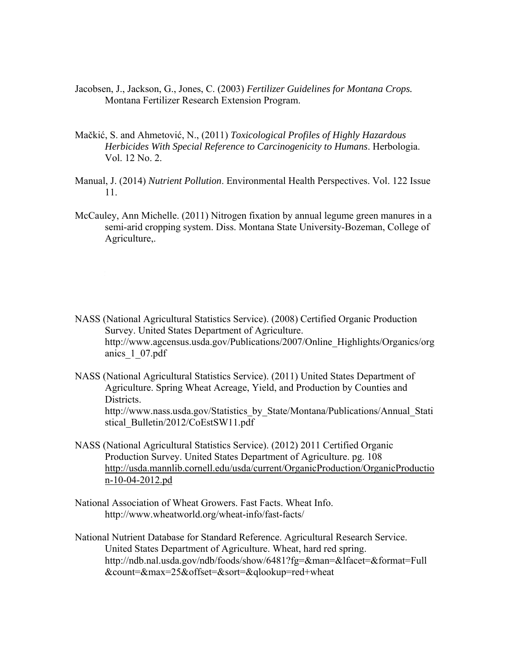- Jacobsen, J., Jackson, G., Jones, C. (2003) *Fertilizer Guidelines for Montana Crops.* Montana Fertilizer Research Extension Program.
- Mačkić, S. and Ahmetović, N., (2011) *Toxicological Profiles of Highly Hazardous Herbicides With Special Reference to Carcinogenicity to Humans*. Herbologia. Vol. 12 No. 2.
- Manual, J. (2014) *Nutrient Pollution*. Environmental Health Perspectives. Vol. 122 Issue 11.
- McCauley, Ann Michelle. (2011) Nitrogen fixation by annual legume green manures in a semi-arid cropping system. Diss. Montana State University-Bozeman, College of Agriculture,.

- NASS (National Agricultural Statistics Service). (2008) Certified Organic Production Survey. United States Department of Agriculture. http://www.agcensus.usda.gov/Publications/2007/Online\_Highlights/Organics/org anics\_1\_07.pdf
- NASS (National Agricultural Statistics Service). (2011) United States Department of Agriculture. Spring Wheat Acreage, Yield, and Production by Counties and Districts. http://www.nass.usda.gov/Statistics\_by\_State/Montana/Publications/Annual\_Stati stical\_Bulletin/2012/CoEstSW11.pdf
- NASS (National Agricultural Statistics Service). (2012) 2011 Certified Organic Production Survey. United States Department of Agriculture. pg. 108 http://usda.mannlib.cornell.edu/usda/current/OrganicProduction/OrganicProductio n-10-04-2012.pd
- National Association of Wheat Growers. Fast Facts. Wheat Info. http://www.wheatworld.org/wheat-info/fast-facts/

National Nutrient Database for Standard Reference. Agricultural Research Service. United States Department of Agriculture. Wheat, hard red spring. http://ndb.nal.usda.gov/ndb/foods/show/6481?fg=&man=&lfacet=&format=Full &count=&max=25&offset=&sort=&qlookup=red+wheat